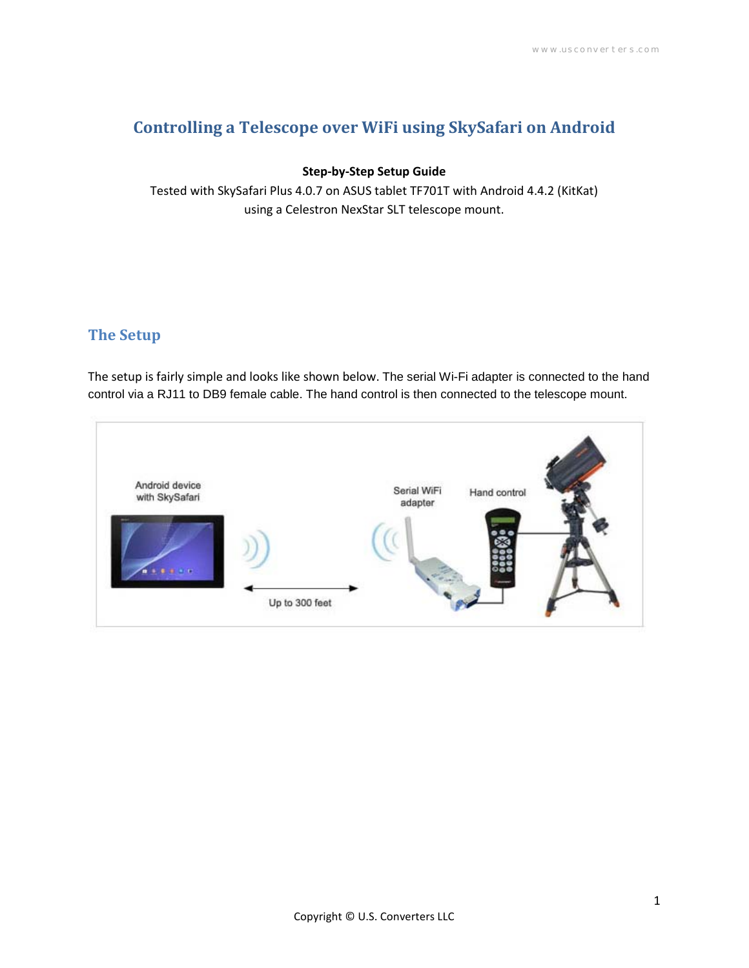# **Controlling a Telescope over WiFi using SkySafari on Android**

#### **Step-by-Step Setup Guide**

Tested with SkySafari Plus 4.0.7 on ASUS tablet TF701T with Android 4.4.2 (KitKat) using a Celestron NexStar SLT telescope mount.

# **The Setup**

The setup is fairly simple and looks like shown below. The serial Wi-Fi adapter is connected to the hand control via a RJ11 to DB9 female cable. The hand control is then connected to the telescope mount.

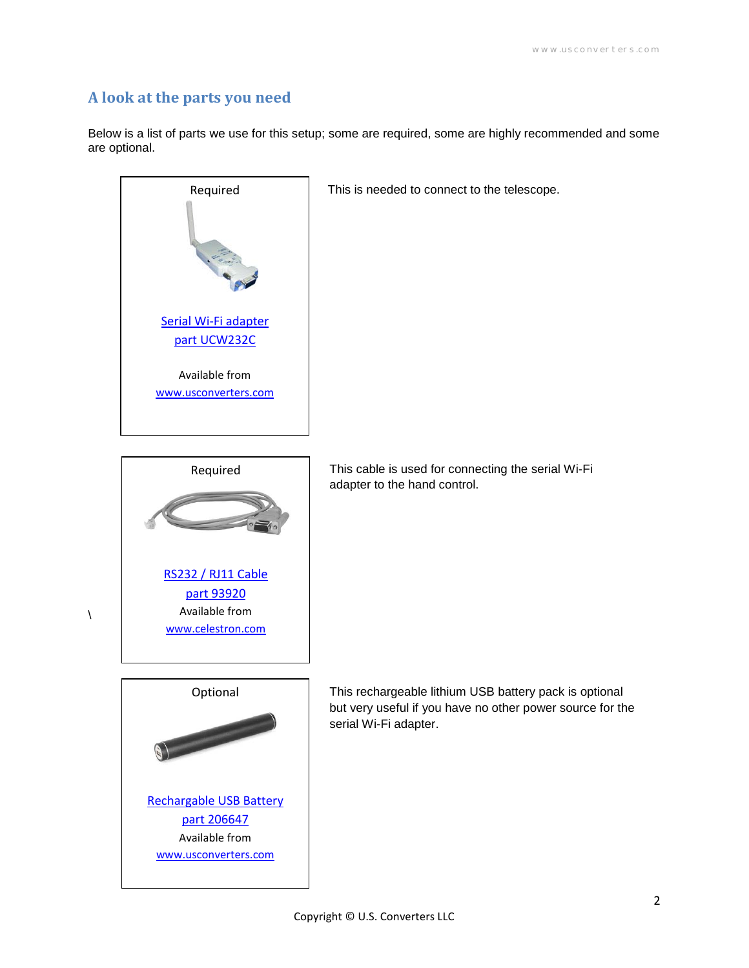### **A look at the parts you need**

Below is a list of parts we use for this setup; some are required, some are highly recommended and some are optional.



This is needed to connect to the telescope.



 $\lambda$ 

This cable is used for connecting the serial Wi-Fi adapter to the hand control.



This rechargeable lithium USB battery pack is optional but very useful if you have no other power source for the serial Wi-Fi adapter.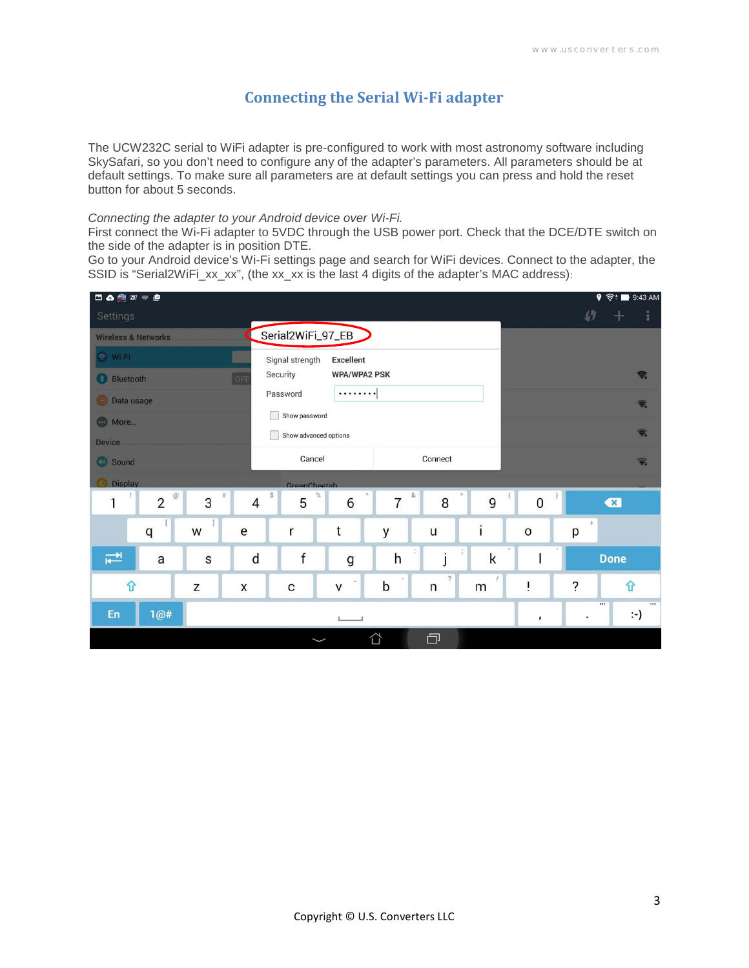## **Connecting the Serial Wi-Fi adapter**

The UCW232C serial to WiFi adapter is pre-configured to work with most astronomy software including SkySafari, so you don't need to configure any of the adapter's parameters. All parameters should be at default settings. To make sure all parameters are at default settings you can press and hold the reset button for about 5 seconds.

#### *Connecting the adapter to your Android device over Wi-Fi.*

First connect the Wi-Fi adapter to 5VDC through the USB power port. Check that the DCE/DTE switch on the side of the adapter is in position DTE.

Go to your Android device's Wi-Fi settings page and search for WiFi devices. Connect to the adapter, the SSID is "Serial2WiFi\_xx\_xx", (the xx\_xx is the last 4 digits of the adapter's MAC address):

| 口の費可=■                         |                                 |   |           |                                     |        |                        |                     |   |                           |               | $\circ$ $\approx$ $\bullet$ 9:43 AM             |
|--------------------------------|---------------------------------|---|-----------|-------------------------------------|--------|------------------------|---------------------|---|---------------------------|---------------|-------------------------------------------------|
| Settings                       |                                 |   |           |                                     |        |                        |                     |   |                           | $\mathcal{L}$ | î.                                              |
| <b>Wireless &amp; Networks</b> |                                 |   |           | Serial2WiFi_97_EB                   |        |                        |                     |   |                           |               |                                                 |
| 图 Wi-Fi                        |                                 |   |           | <b>Excellent</b><br>Signal strength |        |                        |                     |   |                           |               |                                                 |
| OFF<br><b>Bluetooth</b>        |                                 |   |           | Security<br><b>WPA/WPA2 PSK</b>     |        |                        |                     |   |                           |               | 帚                                               |
| <b>O</b> Data usage            |                                 |   |           | <br>Password                        |        |                        |                     |   | $\widehat{\mathcal{P}}_n$ |               |                                                 |
| and More                       |                                 |   |           | Show password                       |        |                        |                     |   |                           |               |                                                 |
| <b>Device</b>                  |                                 |   |           | Show advanced options               |        |                        |                     |   |                           |               | $\overline{\overline{\overline{\overline{v}}}}$ |
| Sound                          |                                 |   |           | Cancel<br>Connect                   |        |                        |                     |   |                           |               | $\widehat{\mathbf{v}}_n$                        |
| <b>O</b> Display               |                                 |   |           | GreenCheetah                        |        |                        |                     |   |                           |               |                                                 |
| 1                              | $^\copyright$<br>$\overline{2}$ | 3 | $\#$<br>4 | $\mathbb{S}$<br>5                   | %<br>6 | $\&$<br>$\overline{7}$ | 8                   | 9 | $\pmb{0}$                 |               | $\bullet$                                       |
|                                | q                               | W | e         | r                                   | t      | y                      | u                   | Ï | $\circ$                   | $\pm$<br>p    |                                                 |
| $\overline{\mathbf{f}}$        | a                               | S | d         | $\mathsf{f}$                        | g      | ÷<br>h                 | İ                   | k |                           |               | <b>Done</b>                                     |
| ⇧                              |                                 | Z | X         | C                                   | V      | b                      | $\overline{?}$<br>n | m | Ť                         | $\ddot{?}$    | ⇧                                               |
| En                             | 1@#                             |   |           |                                     |        |                        |                     |   | ,                         |               | $\cdots$<br>፦)                                  |
|                                |                                 |   |           |                                     |        | ⇧                      | a                   |   |                           |               |                                                 |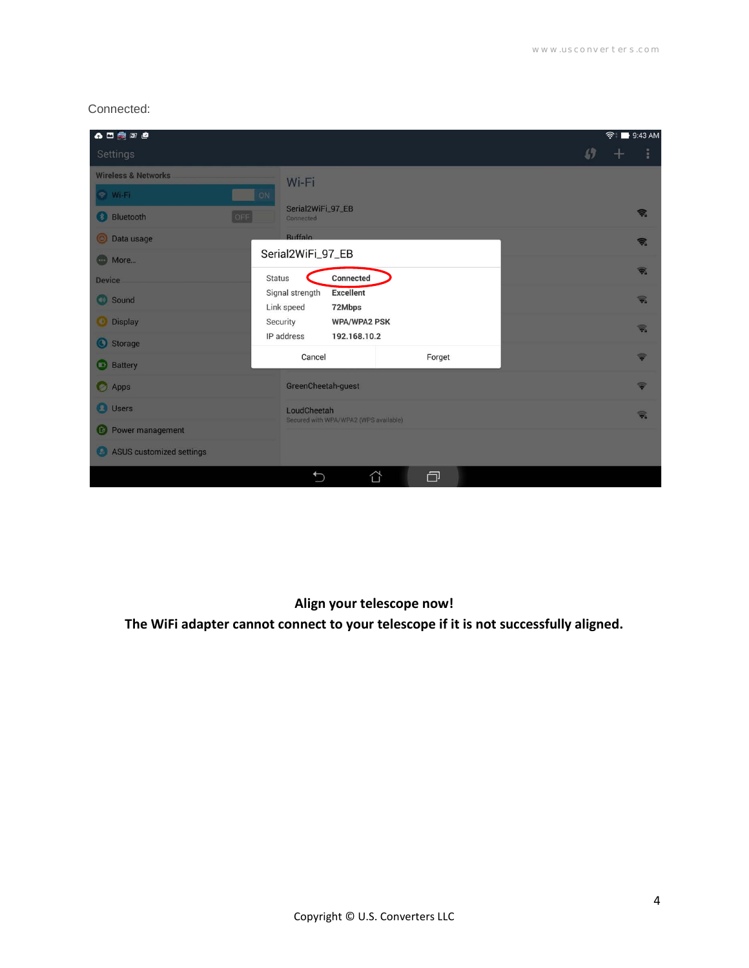#### Connected:

| $\bullet \qquad \bullet \qquad \bullet$ |                                                             | <b>◆ ■ 9:43 AM</b>      |
|-----------------------------------------|-------------------------------------------------------------|-------------------------|
| Settings                                |                                                             | $\mathcal{L}$           |
| <b>Wireless &amp; Networks</b>          | Wi-Fi                                                       |                         |
| ON<br>S Wi-Fi                           |                                                             |                         |
| <b>Bluetooth</b><br>[OFE]               | Serial2WiFi_97_EB<br>Connected                              | 念                       |
| <b>O</b> Data usage                     | <b>Buffalo</b>                                              | 金                       |
| <b>Com</b> More                         | Serial2WiFi_97_EB                                           |                         |
| <b>Device</b>                           | Connected<br><b>Status</b>                                  | $\overline{\mathbf{v}}$ |
| Sound                                   | <b>Excellent</b><br>Signal strength<br>Link speed<br>72Mbps | $\widehat{\bullet}$     |
| <b>Display</b>                          | Security<br><b>WPA/WPA2 PSK</b>                             | $\widehat{\mathbf{v}}$  |
| Storage                                 | IP address<br>192.168.10.2                                  |                         |
| <b>Battery</b>                          | Cancel<br>Forget                                            | $\Rightarrow$           |
| Apps                                    | GreenCheetah-guest                                          | $\Rightarrow$           |
| <b>O</b> Users                          | LoudCheetah<br>Secured with WPA/WPA2 (WPS available)        | 帚                       |
| Power management                        |                                                             |                         |
| ASUS customized settings                |                                                             |                         |
|                                         | a<br>⇧<br>$\bigcirc$                                        |                         |

## **Align your telescope now!**

**The WiFi adapter cannot connect to your telescope if it is not successfully aligned.**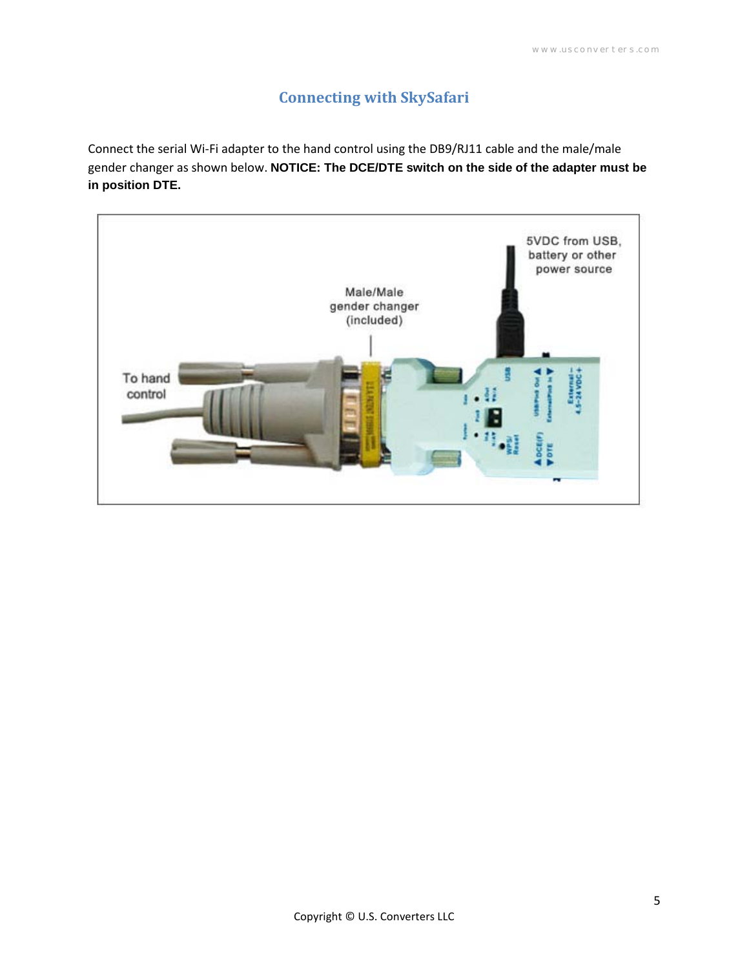# **Connecting with SkySafari**

Connect the serial Wi-Fi adapter to the hand control using the DB9/RJ11 cable and the male/male gender changer as shown below. **NOTICE: The DCE/DTE switch on the side of the adapter must be in position DTE.**

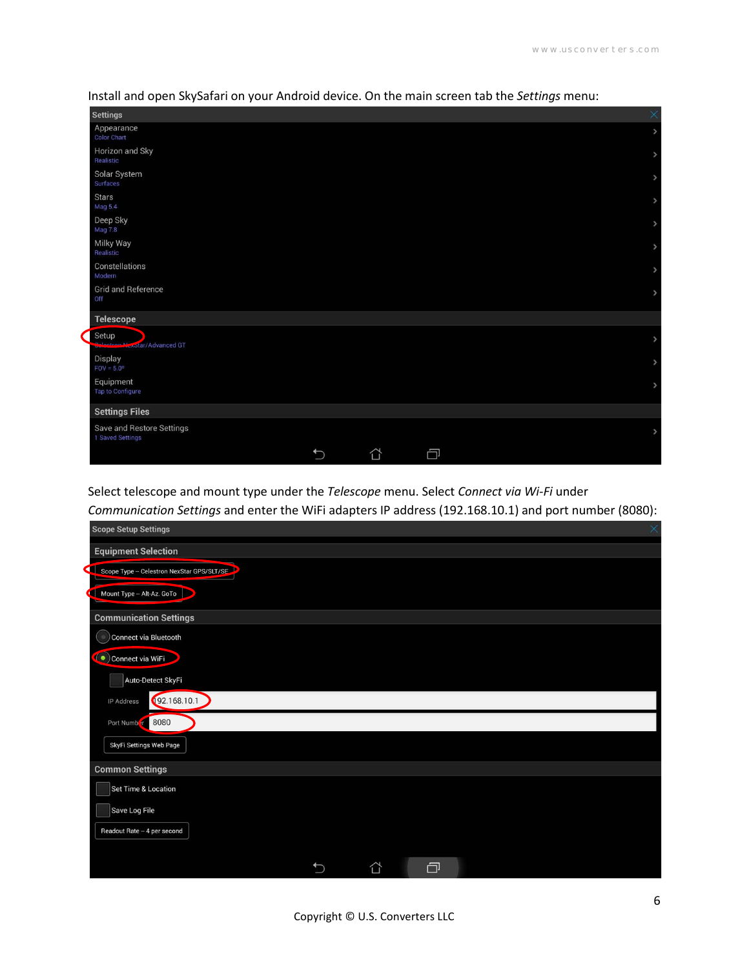| <b>Settings</b>                               | ×             |
|-----------------------------------------------|---------------|
| Appearance<br><b>Color Chart</b>              | $\,$          |
| Horizon and Sky<br>Realistic                  | $\,$          |
| Solar System<br>Surfaces                      | $\rightarrow$ |
| <b>Stars</b><br><b>Mag 5.4</b>                | $\rightarrow$ |
| Deep Sky<br><b>Mag 7.8</b>                    | $\rightarrow$ |
| Milky Way<br>Realistic                        | $\rightarrow$ |
| Constellations<br>Modern                      | $\rightarrow$ |
| <b>Grid and Reference</b><br>Off              | $\rightarrow$ |
| <b>Telescope</b>                              |               |
| Setup<br>Colontron Newstar/Advanced GT        | $\rightarrow$ |
| Display<br>$FOV = 5.0^\circ$                  | $\rightarrow$ |
| Equipment<br>Tap to Configure                 | $\rightarrow$ |
| <b>Settings Files</b>                         |               |
| Save and Restore Settings<br>1 Saved Settings | $\rightarrow$ |
| 门<br>∩                                        |               |

Install and open SkySafari on your Android device. On the main screen tab the *Settings* menu:

Select telescope and mount type under the *Telescope* menu. Select *Connect via Wi-Fi* under

*Communication Settings* and enter the WiFi adapters IP address (192.168.10.1) and port number (8080):

| <b>Scope Setup Settings</b>               |              |   |   | $\times$ |
|-------------------------------------------|--------------|---|---|----------|
| <b>Equipment Selection</b>                |              |   |   |          |
| Scope Type - Celestron NexStar GPS/SLT/SE |              |   |   |          |
| Mount Type - Alt-Az. GoTo                 |              |   |   |          |
| <b>Communication Settings</b>             |              |   |   |          |
| Connect via Bluetooth<br>( is             |              |   |   |          |
| Connect via WiFi                          |              |   |   |          |
| Auto-Detect SkyFi                         |              |   |   |          |
| IP Address                                | 192.168.10.1 |   |   |          |
| Port Numb f 8080                          |              |   |   |          |
| SkyFi Settings Web Page                   |              |   |   |          |
| <b>Common Settings</b>                    |              |   |   |          |
| Set Time & Location                       |              |   |   |          |
| Save Log File                             |              |   |   |          |
| Readout Rate - 4 per second               |              |   |   |          |
|                                           |              |   | 闩 |          |
|                                           |              | ☆ |   |          |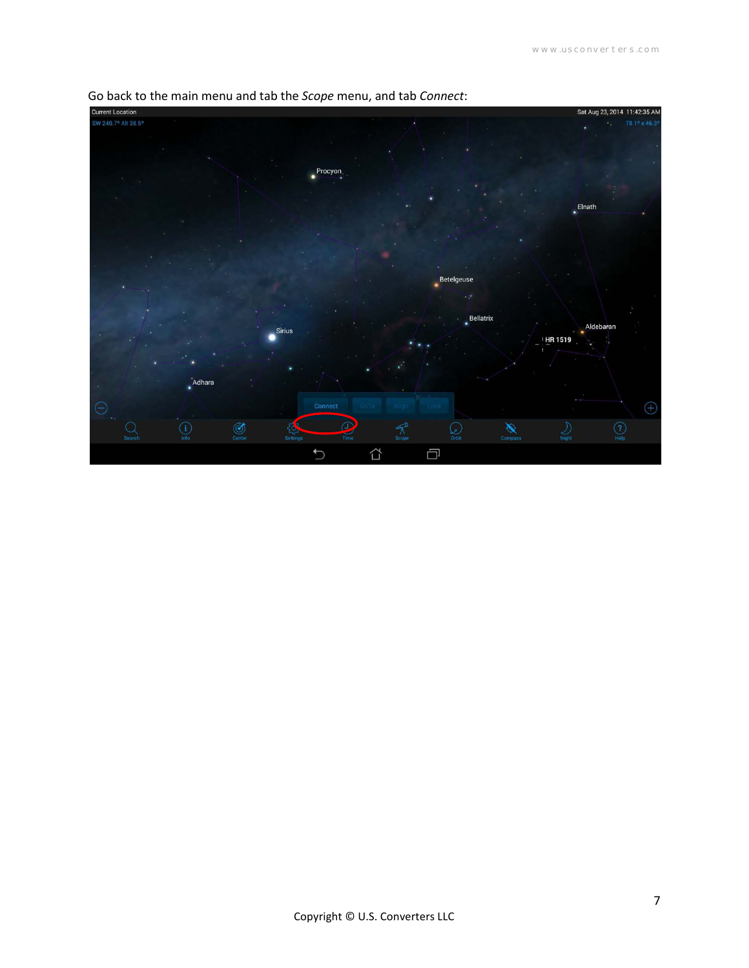